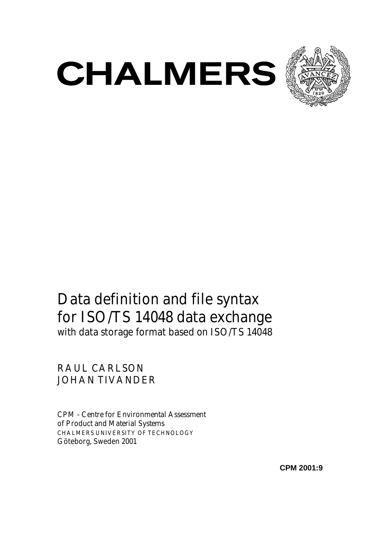



# Data definition and file syntax for ISO/TS 14048 data exchange with data storage format based on ISO/TS 14048

RAUL CARLSON JOHAN TIVANDER

*CPM - Centre for Environmental Assessment of Product and Material Systems* CHALMERS UNIVERSITY OF TECHNOLOGY Göteborg, Sweden 2001

**CPM 2001:9**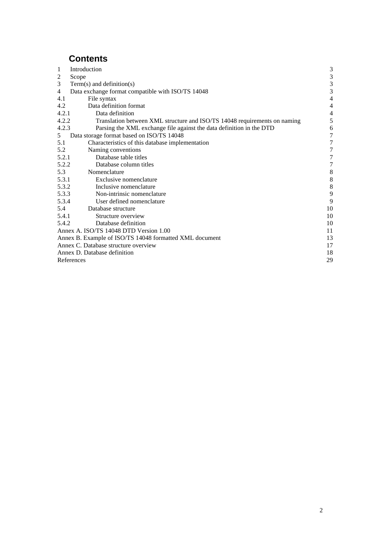# **Contents**

| $\mathbf{1}$<br>Introduction                                                       | 3                        |
|------------------------------------------------------------------------------------|--------------------------|
| $\overline{c}$<br>Scope                                                            | $\mathfrak{Z}$           |
| 3<br>$Term(s)$ and definition(s)                                                   | 3                        |
| Data exchange format compatible with ISO/TS 14048<br>$\overline{4}$                | $\overline{3}$           |
| 4.1<br>File syntax                                                                 | 4                        |
| 4.2<br>Data definition format                                                      | $\overline{\mathcal{L}}$ |
| 4.2.1<br>Data definition                                                           | $\overline{4}$           |
| 4.2.2<br>Translation between XML structure and ISO/TS 14048 requirements on naming | 5                        |
| 4.2.3<br>Parsing the XML exchange file against the data definition in the DTD      | 6                        |
| Data storage format based on ISO/TS 14048<br>5                                     | $\overline{7}$           |
| 5.1<br>Characteristics of this database implementation                             | $\overline{7}$           |
| 5.2<br>Naming conventions                                                          | $\boldsymbol{7}$         |
| 5.2.1<br>Database table titles                                                     | $\boldsymbol{7}$         |
| 5.2.2<br>Database column titles                                                    | $\sqrt{ }$               |
| 5.3<br>Nomenclature                                                                | 8                        |
| Exclusive nomenclature<br>5.3.1                                                    | $\,$ 8 $\,$              |
| 5.3.2<br>Inclusive nomenclature                                                    | 8                        |
| 5.3.3<br>Non-intrinsic nomenclature                                                | 9                        |
| User defined nomenclature<br>5.3.4                                                 | 9                        |
| 5.4<br>Database structure                                                          | 10                       |
| 5.4.1<br>Structure overview                                                        | 10                       |
| 5.4.2<br>Database definition                                                       | 10                       |
| Annex A. ISO/TS 14048 DTD Version 1.00                                             | 11                       |
| Annex B. Example of ISO/TS 14048 formatted XML document                            |                          |
| Annex C. Database structure overview                                               |                          |
| Annex D. Database definition                                                       |                          |
| References                                                                         |                          |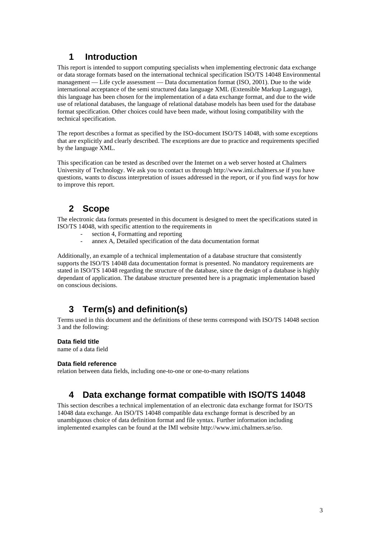# **1 Introduction**

This report is intended to support computing specialists when implementing electronic data exchange or data storage formats based on the international technical specification ISO/TS 14048 Environmental management — Life cycle assessment — Data documentation format (ISO, 2001). Due to the wide international acceptance of the semi structured data language XML (Extensible Markup Language), this language has been chosen for the implementation of a data exchange format, and due to the wide use of relational databases, the language of relational database models has been used for the database format specification. Other choices could have been made, without losing compatibility with the technical specification.

The report describes a format as specified by the ISO-document ISO/TS 14048, with some exceptions that are explicitly and clearly described. The exceptions are due to practice and requirements specified by the language XML.

This specification can be tested as described over the Internet on a web server hosted at Chalmers University of Technology. We ask you to contact us through http://www.imi.chalmers.se if you have questions, wants to discuss interpretation of issues addressed in the report, or if you find ways for how to improve this report.

# **2 Scope**

The electronic data formats presented in this document is designed to meet the specifications stated in ISO/TS 14048, with specific attention to the requirements in

- section 4, Formatting and reporting
- annex A, Detailed specification of the data documentation format

Additionally, an example of a technical implementation of a database structure that consistently supports the ISO/TS 14048 data documentation format is presented. No mandatory requirements are stated in ISO/TS 14048 regarding the structure of the database, since the design of a database is highly dependant of application. The database structure presented here is a pragmatic implementation based on conscious decisions.

# **3 Term(s) and definition(s)**

Terms used in this document and the definitions of these terms correspond with ISO/TS 14048 section 3 and the following:

#### **Data field title**

name of a data field

#### **Data field reference**

relation between data fields, including one-to-one or one-to-many relations

# **4 Data exchange format compatible with ISO/TS 14048**

This section describes a technical implementation of an electronic data exchange format for ISO/TS 14048 data exchange. An ISO/TS 14048 compatible data exchange format is described by an unambiguous choice of data definition format and file syntax. Further information including implemented examples can be found at the IMI website http://www.imi.chalmers.se/iso.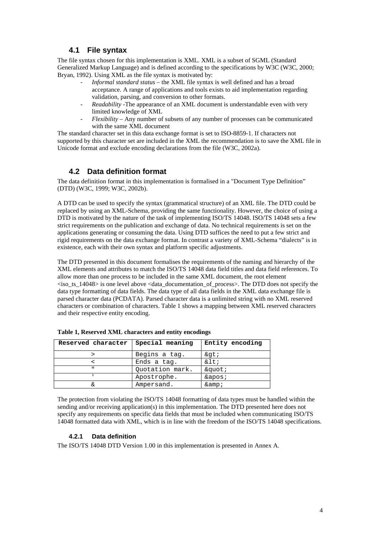### **4.1 File syntax**

The file syntax chosen for this implementation is XML. XML is a subset of SGML (Standard Generalized Markup Language) and is defined according to the specifications by W3C (W3C, 2000; Bryan, 1992). Using XML as the file syntax is motivated by:

- *Informal standard status* the XML file syntax is well defined and has a broad acceptance. A range of applications and tools exists to aid implementation regarding validation, parsing, and conversion to other formats.
- *Readability* -The appearance of an XML document is understandable even with very limited knowledge of XML
- *Flexibility* Any number of subsets of any number of processes can be communicated with the same XML document

The standard character set in this data exchange format is set to ISO-8859-1. If characters not supported by this character set are included in the XML the recommendation is to save the XML file in Unicode format and exclude encoding declarations from the file (W3C, 2002a).

## **4.2 Data definition format**

The data definition format in this implementation is formalised in a "Document Type Definition" (DTD) (W3C, 1999; W3C, 2002b).

A DTD can be used to specify the syntax (grammatical structure) of an XML file. The DTD could be replaced by using an XML-Schema, providing the same functionality. However, the choice of using a DTD is motivated by the nature of the task of implementing ISO/TS 14048. ISO/TS 14048 sets a few strict requirements on the publication and exchange of data. No technical requirements is set on the applications generating or consuming the data. Using DTD suffices the need to put a few strict and rigid requirements on the data exchange format. In contrast a variety of XML-Schema "dialects" is in existence, each with their own syntax and platform specific adjustments.

The DTD presented in this document formalises the requirements of the naming and hierarchy of the XML elements and attributes to match the ISO/TS 14048 data field titles and data field references. To allow more than one process to be included in the same XML document, the root element  $\langle$ iso ts 14048 $>$  is one level above  $\langle$  data documentation of process $>$ . The DTD does not specify the data type formatting of data fields. The data type of all data fields in the XML data exchange file is parsed character data (PCDATA). Parsed character data is a unlimited string with no XML reserved characters or combination of characters. Table 1 shows a mapping between XML reserved characters and their respective entity encoding.

| Reserved character | Special meaning | Entity encoding |
|--------------------|-----------------|-----------------|
|                    | Begins a tag.   | >               |
|                    | Ends a tag.     | $<$ i           |
| $\mathbf{u}$       | Quotation mark. | "               |
|                    | Apostrophe.     | $\&$ apos;      |
|                    | Ampersand.      | $\&$ amp;       |

**Table 1, Reserved XML characters and entity encodings**

The protection from violating the ISO/TS 14048 formatting of data types must be handled within the sending and/or receiving application(s) in this implementation. The DTD presented here does not specify any requirements on specific data fields that must be included when communicating ISO/TS 14048 formatted data with XML, which is in line with the freedom of the ISO/TS 14048 specifications.

#### **4.2.1 Data definition**

The ISO/TS 14048 DTD Version 1.00 in this implementation is presented in Annex A.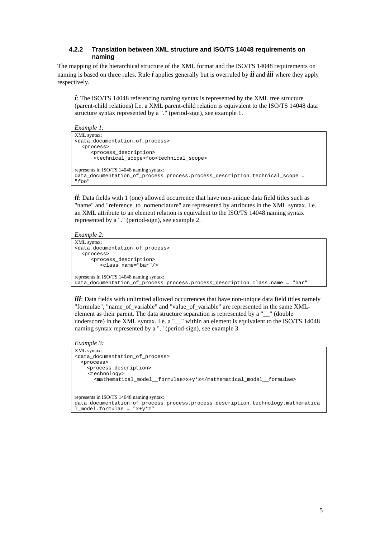#### **4.2.2 Translation between XML structure and ISO/TS 14048 requirements on naming**

The mapping of the hierarchical structure of the XML format and the ISO/TS 14048 requirements on naming is based on three rules. Rule  $\boldsymbol{i}$  applies generally but is overruled by  $\boldsymbol{i}$  and  $\boldsymbol{i}$  ii where they apply respectively.

*i*: The ISO/TS 14048 referencing naming syntax is represented by the XML tree structure (parent-child relations) I.e. a XML parent-child relation is equivalent to the ISO/TS 14048 data structure syntax represented by a "." (period-sign), see example 1.

```
Example 1:
```

```
XML syntax:
<data_documentation_of_process>
   <process>
       <process_description>
       -<br><technical_scope>foo<technical_scope>
represents in ISO/TS 14048 naming syntax: 
data_documentation_of_process.process.process_description.technical_scope = 
"foo"
```
*ii*: Data fields with 1 (one) allowed occurrence that have non-unique data field titles such as "name" and "reference\_to\_nomenclature" are represented by attributes in the XML syntax. I.e. an XML attribute to an element relation is equivalent to the ISO/TS 14048 naming syntax represented by a "." (period-sign), see example 2.

*Example 2:*

```
XML syntax:
<data_documentation_of_process> 
   <process>
      <process_description>
          <class name="bar"/>
represents in ISO/TS 14048 naming syntax:
data_documentation_of_process.process.process_description.class.name = "bar"
```
*iii*: Data fields with unlimited allowed occurrences that have non-unique data field titles namely "formulae", "name\_of\_variable" and "value\_of\_variable" are represented in the same XMLelement as their parent. The data structure separation is represented by a "\_\_" (double underscore) in the XML syntax. I.e. a "\_\_" within an element is equivalent to the ISO/TS 14048 naming syntax represented by a "." (period-sign), see example 3.

*Example 3:*

```
XML syntax:
<data_documentation_of_process> 
   <process>
     <process_description>
     <technology>
        <mathematical_model__formulae>x+y*z</mathematical_model__formulae>
represents in ISO/TS 14048 naming syntax:
data documentation of process.process.process description.technology.mathematica
l model.formulae = "x+y*z"
```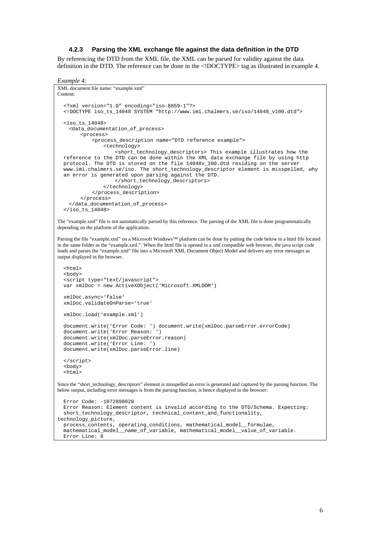#### **4.2.3 Parsing the XML exchange file against the data definition in the DTD**

By referencing the DTD from the XML file, the XML can be parsed for validity against the data definition in the DTD. The reference can be done in the <!DOCTYPE> tag as illustrated in example 4.

```
Example 4:
```

```
XML document file name: "example.xml" 
Content:
   <?xml version="1.0" encoding="iso-8859-1"?>
   <!DOCTYPE iso_ts_14048 SYSTEM "http://www.imi.chalmers.se/iso/14048_v100.dtd">
   <iso_ts_14048>
    <data_documentation_of_process> 
         <process>
             <process_description name="DTD reference example">
                  <technology>
                    <short_technology_descriptors> This example illustrates how the
   reference to the DTD can be done within the XML data exchange file by using http
  protocol. The DTD is stored on the file 14048v_100.dtd residing on the server
   www.imi.chalmers.se/iso. The short_technology_descriptor element is misspelled, why
   an error is generated upon parsing against the DTD.
                     </short_technology_descriptors>
                  </technology>
            </process_description>
         </process>
    </data_documentation_of_process>
  \langleiso ts 14048>
The "example.xml" file is not automatically parsed by this reference. The parsing of the XML file is done programmatically 
depending on the platform of the application.
Parsing the file "example.xml" on a Microsoft Windows™ platform can be done by putting the code below in a html file located 
in the same folder as the "example.xml.". When the html file is opened in a xml compatible web browser, the java script code 
loads and parses the "example.xml" file into a Microsoft XML Document Object Model and delivers any error messages as
output displayed in the browser.
   <html>
   <body>
   <script type="text/javascript">
   var xmlDoc = new ActiveXObject('Microsoft.XMLDOM')
   xmlDoc.async='false'
   xmlDoc.validateOnParse='true'
   xmlDoc.load('example.xml') 
 document.write('Error Code: ') document.write(xmlDoc.parseError.errorCode) 
 document.write('Error Reason: ')
   document.write(xmlDoc.parseError.reason) 
   document.write('Error Line: ') 
   document.write(xmlDoc.parseError.line) 
   </script>
   <body>
   <html>
Since the "short_technology_descriptors" element is misspelled an error is generated and captured by the parsing function. The
below output, including error messages is from the parsing function, is hence displayed in the browser:
   Error Code: -1072898028
   Error Reason: Element content is invalid according to the DTD/Schema. Expecting:
   short_technology_descriptor, technical_content_and_functionality, 
technology_picture,
   process_contents, operating_conditions, mathematical_model__formulae,
   mathematical_model__name_of_variable, mathematical_model__value_of_variable.
   Error Line: 8
```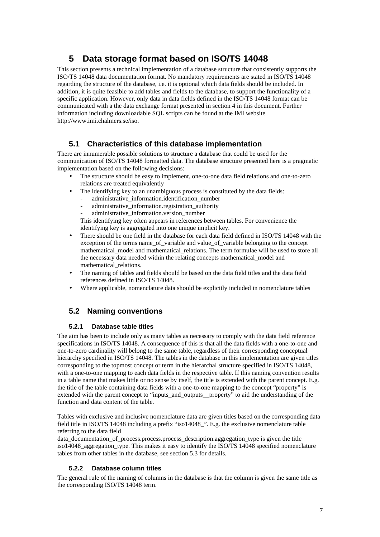# **5 Data storage format based on ISO/TS 14048**

This section presents a technical implementation of a database structure that consistently supports the ISO/TS 14048 data documentation format. No mandatory requirements are stated in ISO/TS 14048 regarding the structure of the database, i.e. it is optional which data fields should be included. In addition, it is quite feasible to add tables and fields to the database, to support the functionality of a specific application. However, only data in data fields defined in the ISO/TS 14048 format can be communicated with a the data exchange format presented in section 4 in this document. Further information including downloadable SQL scripts can be found at the IMI website http://www.imi.chalmers.se/iso.

### **5.1 Characteristics of this database implementation**

There are innumerable possible solutions to structure a database that could be used for the communication of ISO/TS 14048 formatted data. The database structure presented here is a pragmatic implementation based on the following decisions:

- The structure should be easy to implement, one-to-one data field relations and one-to-zero relations are treated equivalently
- The identifying key to an unambiguous process is constituted by the data fields:
	- administrative\_information.identification\_number
	- administrative\_information.registration\_authority
	- administrative\_information.version\_number

This identifying key often appears in references between tables. For convenience the identifying key is aggregated into one unique implicit key.

- There should be one field in the database for each data field defined in ISO/TS 14048 with the exception of the terms name of variable and value of variable belonging to the concept mathematical\_model and mathematical\_relations. The term formulae will be used to store all the necessary data needed within the relating concepts mathematical\_model and mathematical\_relations.
- The naming of tables and fields should be based on the data field titles and the data field references defined in ISO/TS 14048.
- Where applicable, nomenclature data should be explicitly included in nomenclature tables

### **5.2 Naming conventions**

#### **5.2.1 Database table titles**

The aim has been to include only as many tables as necessary to comply with the data field reference specifications in ISO/TS 14048. A consequence of this is that all the data fields with a one-to-one and one-to-zero cardinality will belong to the same table, regardless of their corresponding conceptual hierarchy specified in ISO/TS 14048. The tables in the database in this implementation are given titles corresponding to the topmost concept or term in the hierarchal structure specified in ISO/TS 14048, with a one-to-one mapping to each data fields in the respective table. If this naming convention results in a table name that makes little or no sense by itself, the title is extended with the parent concept. E.g. the title of the table containing data fields with a one-to-one mapping to the concept "property" is extended with the parent concept to "inputs\_and\_outputs\_property" to aid the understanding of the function and data content of the table.

Tables with exclusive and inclusive nomenclature data are given titles based on the corresponding data field title in ISO/TS 14048 including a prefix "iso14048\_". E.g. the exclusive nomenclature table referring to the data field

data\_documentation\_of\_process.process.process\_description.aggregation\_type is given the title iso14048 aggregation type. This makes it easy to identify the ISO/TS 14048 specified nomenclature tables from other tables in the database, see section 5.3 for details.

#### **5.2.2 Database column titles**

The general rule of the naming of columns in the database is that the column is given the same title as the corresponding ISO/TS 14048 term.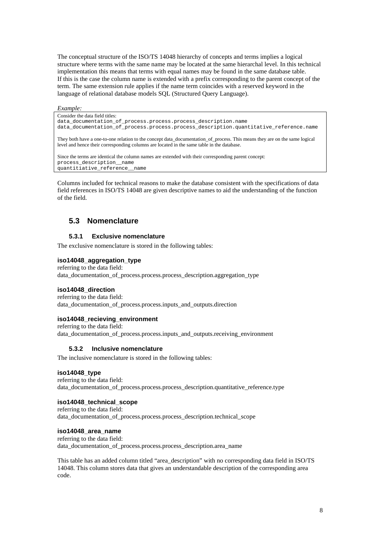The conceptual structure of the ISO/TS 14048 hierarchy of concepts and terms implies a logical structure where terms with the same name may be located at the same hierarchal level. In this technical implementation this means that terms with equal names may be found in the same database table. If this is the case the column name is extended with a prefix corresponding to the parent concept of the term. The same extension rule applies if the name term coincides with a reserved keyword in the language of relational database models SQL (Structured Query Language).

#### *Example:*

Consider the data field titles:

data\_documentation\_of\_process.process.process\_description.name data\_documentation\_of\_process.process.process\_description.quantitative\_reference.name

They both have a one-to-one relation to the concept data\_documentation\_of\_process. This means they are on the same logical level and hence their corresponding columns are located in the same table in the database.

Since the terms are identical the column names are extended with their corresponding parent concept: process\_description\_\_name quantitiative\_reference\_\_name

Columns included for technical reasons to make the database consistent with the specifications of data field references in ISO/TS 14048 are given descriptive names to aid the understanding of the function of the field.

### **5.3 Nomenclature**

#### **5.3.1 Exclusive nomenclature**

The exclusive nomenclature is stored in the following tables:

#### **iso14048\_aggregation\_type**

referring to the data field: data\_documentation\_of\_process.process.process\_description.aggregation\_type

#### **iso14048\_direction**

referring to the data field: data documentation of process.process.inputs and outputs.direction

#### **iso14048\_recieving\_environment**

referring to the data field: data documentation of process.process.inputs and outputs.receiving environment

#### **5.3.2 Inclusive nomenclature**

The inclusive nomenclature is stored in the following tables:

#### **iso14048\_type**

referring to the data field: data documentation of process.process.process description.quantitative reference.type

#### **iso14048\_technical\_scope**

referring to the data field: data documentation of process.process.process description.technical scope

#### **iso14048\_area\_name**

referring to the data field: data\_documentation\_of\_process.process.process\_description.area\_name

This table has an added column titled "area\_description" with no corresponding data field in ISO/TS 14048. This column stores data that gives an understandable description of the corresponding area code.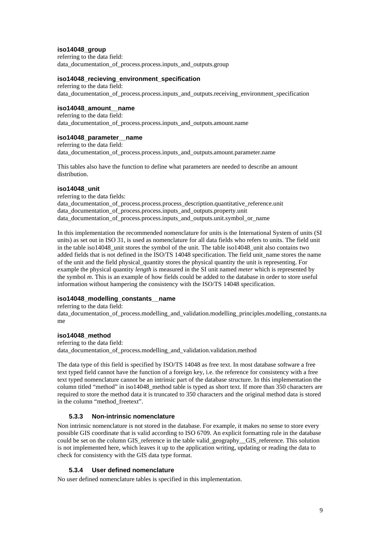#### **iso14048\_group**

referring to the data field: data documentation of process.process.inputs and outputs.group

#### **iso14048\_recieving\_environment\_specification**

referring to the data field: data\_documentation\_of\_process.process.inputs\_and\_outputs.receiving\_environment\_specification

#### **iso14048\_amount\_\_name**

referring to the data field: data documentation of process.process.inputs and outputs.amount.name

#### **iso14048\_parameter\_\_name**

referring to the data field: data documentation of process.process.inputs and outputs.amount.parameter.name

This tables also have the function to define what parameters are needed to describe an amount distribution.

#### **iso14048\_unit**

referring to the data fields: data\_documentation\_of\_process.process.process\_description.quantitative\_reference.unit data documentation of process.process.inputs and outputs.property.unit data documentation of process.process.inputs and outputs.unit.symbol or name

In this implementation the recommended nomenclature for units is the International System of units (SI units) as set out in ISO 31, is used as nomenclature for all data fields who refers to units. The field unit in the table iso14048\_unit stores the symbol of the unit. The table iso14048\_unit also contains two added fields that is not defined in the ISO/TS 14048 specification. The field unit\_name stores the name of the unit and the field physical\_quantity stores the physical quantity the unit is representing. For example the physical quantity *length* is measured in the SI unit named *meter* which is represented by the symbol *m*. This is an example of how fields could be added to the database in order to store useful information without hampering the consistency with the ISO/TS 14048 specification.

#### **iso14048\_modelling\_constants\_\_name**

referring to the data field:

data documentation of process.modelling and validation.modelling principles.modelling constants.na me

#### **iso14048\_method**

referring to the data field: data\_documentation\_of\_process.modelling\_and\_validation.validation.method

The data type of this field is specified by ISO/TS 14048 as free text. In most database software a free text typed field cannot have the function of a foreign key, i.e. the reference for consistency with a free text typed nomenclature cannot be an intrinsic part of the database structure. In this implementation the column titled "method" in iso14048 method table is typed as short text. If more than 350 characters are required to store the method data it is truncated to 350 characters and the original method data is stored in the column "method freetext".

#### **5.3.3 Non-intrinsic nomenclature**

Non intrinsic nomenclature is not stored in the database. For example, it makes no sense to store every possible GIS coordinate that is valid according to ISO 6709. An explicit formatting rule in the database could be set on the column GIS reference in the table valid geography GIS reference. This solution is not implemented here, which leaves it up to the application writing, updating or reading the data to check for consistency with the GIS data type format.

#### **5.3.4 User defined nomenclature**

No user defined nomenclature tables is specified in this implementation.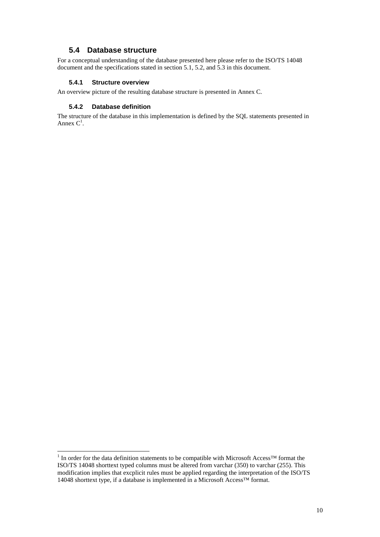### **5.4 Database structure**

For a conceptual understanding of the database presented here please refer to the ISO/TS 14048 document and the specifications stated in section 5.1, 5.2, and 5.3 in this document.

#### **5.4.1 Structure overview**

An overview picture of the resulting database structure is presented in Annex C.

#### **5.4.2 Database definition**

l

The structure of the database in this implementation is defined by the SQL statements presented in Annex  $C^1$ .

<sup>&</sup>lt;sup>1</sup> In order for the data definition statements to be compatible with Microsoft Access<sup>™</sup> format the ISO/TS 14048 shorttext typed columns must be altered from varchar (350) to varchar (255). This modification implies that excplicit rules must be applied regarding the interpretation of the ISO/TS 14048 shorttext type, if a database is implemented in a Microsoft Access™ format.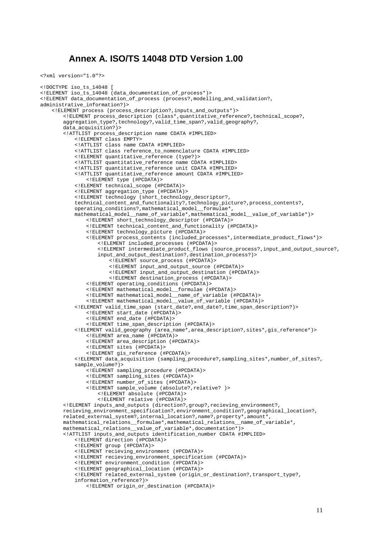### **Annex A. ISO/TS 14048 DTD Version 1.00**

```
<?xml version="1.0"?>
```

```
<!DOCTYPE iso_ts_14048 [
<!ELEMENT iso_ts_14048 (data_documentation_of_process*)>
<!ELEMENT data_documentation_of_process (process?,modelling_and_validation?,
administrative_information?)>
   <!ELEMENT process (process_description?,inputs_and_outputs*)>
       <!ELEMENT process_description (class*,quantitative_reference?,technical_scope?,
       aggregation_type?,technology?,valid_time_span?,valid_geography?,
       data_acquisition?)>
       <!ATTLIST process_description name CDATA #IMPLIED>
           <!ELEMENT class EMPTY>
           <!ATTLIST class name CDATA #IMPLIED>
           <!ATTLIST class reference_to_nomenclature CDATA #IMPLIED> 
           <!ELEMENT quantitative_reference (type?)>
           <!ATTLIST quantitative_reference name CDATA #IMPLIED>
           <!ATTLIST quantitative_reference unit CDATA #IMPLIED>
           <!ATTLIST quantitative_reference amount CDATA #IMPLIED>
               <!ELEMENT type (#PCDATA)>
           <!ELEMENT technical_scope (#PCDATA)>
           <!ELEMENT aggregation_type (#PCDATA)>
           <!ELEMENT technology (short_technology_descriptor?,
           technical_content_and_functionality?,technology_picture?,process_contents?,
           operating_conditions?,mathematical_model__formulae*,
           mathematical_model__name_of_variable*,mathematical_model__value_of_variable*)>
               <!ELEMENT short_technology_descriptor (#PCDATA)>
               <!ELEMENT technical_content_and_functionality (#PCDATA)>
               <!ELEMENT technology_picture (#PCDATA)>
               <!ELEMENT process_contents (included_processes*,intermediate_product_flows*)>
                   <!ELEMENT included_processes (#PCDATA)>
                   <!ELEMENT intermediate_product_flows (source_process?,input_and_output_source?,
                   input_and_output_destination?,destination_process?)>
                      <!ELEMENT source_process (#PCDATA)>
                      <!ELEMENT input_and_output_source (#PCDATA)>
                      <!ELEMENT input_and_output_destination (#PCDATA)>
                      <!ELEMENT destination_process (#PCDATA)>
               <!ELEMENT operating_conditions (#PCDATA)>
               <!ELEMENT mathematical_model__formulae (#PCDATA)>
               <!ELEMENT mathematical_model__name_of_variable (#PCDATA)>
               <!ELEMENT mathematical_model__value_of_variable (#PCDATA)>
           <!ELEMENT valid_time_span (start_date?,end_date?,time_span_description?)>
               <!ELEMENT start_date (#PCDATA)>
               <!ELEMENT end_date (#PCDATA)>
               <!ELEMENT time_span_description (#PCDATA)>
           <!ELEMENT valid_geography (area_name*,area_description?,sites*,gis_reference*)>
               <!ELEMENT area_name (#PCDATA)>
               <!ELEMENT area_description (#PCDATA)>
               <!ELEMENT sites (#PCDATA)>
               <!ELEMENT gis_reference (#PCDATA)>
           <!ELEMENT data_acquisition (sampling_procedure?,sampling_sites*,number_of_sites?,
           sample_volume?)>
              <!ELEMENT sampling_procedure (#PCDATA)>
               <!ELEMENT sampling_sites (#PCDATA)>
               <!ELEMENT number_of_sites (#PCDATA)>
               <!ELEMENT sample_volume (absolute?,relative? )>
                  <!ELEMENT absolute (#PCDATA)>
                   <!ELEMENT relative (#PCDATA)>
       <!ELEMENT inputs_and_outputs (direction?,group?,recieving_environment?,
       recieving_environment_specification?,environment_condition?,geographical_location?,
       related_external_system?,internal_location?,name?,property*,amount*,
       mathematical_relations__formulae*,mathematical_relations__name_of_variable*,
       mathematical_relations__value_of_variable*,documentation*)>
       <!ATTLIST inputs_and_outputs identification_number CDATA #IMPLIED>
           <!ELEMENT direction (#PCDATA)>
           <!ELEMENT group (#PCDATA)>
           <!ELEMENT recieving_environment (#PCDATA)>
           <!ELEMENT recieving_environment_specification (#PCDATA)>
           <!ELEMENT environment_condition (#PCDATA)>
           <!ELEMENT geographical_location (#PCDATA)>
           <!ELEMENT related_external_system (origin_or_destination?,transport_type?,
           information_reference?)>
```

```
<!ELEMENT origin_or_destination (#PCDATA)>
```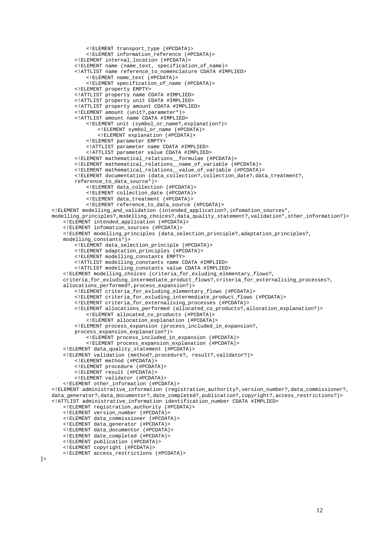```
<!ELEMENT transport_type (#PCDATA)>
           <!ELEMENT information_reference (#PCDATA)>
       <!ELEMENT internal_location (#PCDATA)>
       <!ELEMENT name (name_text, specification_of_name)>
       <!ATTLIST name reference_to_nomenclature CDATA #IMPLIED>
           <!ELEMENT name_text (#PCDATA)>
           <!ELEMENT specification_of_name (#PCDATA)>
       <!ELEMENT property EMPTY>
       <!ATTLIST property name CDATA #IMPLIED>
        <!ATTLIST property unit CDATA #IMPLIED>
        <!ATTLIST property amount CDATA #IMPLIED>
       <!ELEMENT amount (unit?,parameter*)>
       <!ATTLIST amount name CDATA #IMPLIED>
           <!ELEMENT unit (symbol_or_name?,explanation?)>
               <!ELEMENT symbol_or_name (#PCDATA)>
               <!ELEMENT explanation (#PCDATA)>
           <!ELEMENT parameter EMPTY>
           <!ATTLIST parameter name CDATA #IMPLIED>
           <!ATTLIST parameter value CDATA #IMPLIED>
       <!ELEMENT mathematical_relations__formulae (#PCDATA)>
       <!ELEMENT mathematical_relations__name_of_variable (#PCDATA)>
       <!ELEMENT mathematical_relations__value_of_variable (#PCDATA)>
       <!ELEMENT documentation (data_collection?,collection_date?,data_treatment?,
       reference_to_data_source*)>
           <!ELEMENT data_collection (#PCDATA)>
           <!ELEMENT collection_date (#PCDATA)>
           <!ELEMENT data_treatment (#PCDATA)>
           <!ELEMENT reference_to_data_source (#PCDATA)>
<!ELEMENT modelling_and_validation (intended_application?,infomation_sources*,
modelling_principles?,modelling_choices?,data_quality_statement?,validation*,other_information?)>
   <!ELEMENT intended_application (#PCDATA)>
   <!ELEMENT infomation_sources (#PCDATA)>
   <!ELEMENT modelling_principles (data_selection_principle?,adaptation_principles?,
   modelling_constants*)>
       <!ELEMENT data_selection_principle (#PCDATA)>
       <!ELEMENT adaptation_principles (#PCDATA)>
       <!ELEMENT modelling_constants EMPTY>
       <!ATTLIST modelling_constants name CDATA #IMPLIED>
       <!ATTLIST modelling_constants value CDATA #IMPLIED>
    <!ELEMENT modelling_choices (criteria_for_exluding_elementary_flows?,
    criteria_for_exluding_intermediate_product_flows?,criteria_for_externalising_processes?,
   allocations_performed?,process_expansion?)>
       <!ELEMENT criteria_for_exluding_elementary_flows (#PCDATA)>
       <!ELEMENT criteria_for_exluding_intermediate_product_flows (#PCDATA)>
       <!ELEMENT criteria_for_externalising_processes (#PCDATA)>
       <!ELEMENT allocations_performed (allocated_co_products?,allocation_explanation?)>
           <!ELEMENT allocated_co_products (#PCDATA)>
           <!ELEMENT allocation_explanation (#PCDATA)>
       <!ELEMENT process_expansion (process_included_in_expansion?,
       process_expansion_explanation?)>
           <!ELEMENT process_included_in_expansion (#PCDATA)>
           <!ELEMENT process_expansion_explanation (#PCDATA)>
   <!ELEMENT data_quality_statement (#PCDATA)>
    <!ELEMENT validation (method?,procedure?, result?,validator?)>
       <!ELEMENT method (#PCDATA)>
       <!ELEMENT procedure (#PCDATA)>
       <!ELEMENT result (#PCDATA)>
       <!ELEMENT validator (#PCDATA)>
    <!ELEMENT other_information (#PCDATA)>
<!ELEMENT administrative_information (registration_authority?,version_number?,data_commissioner?,
data_generator?,data_documentor?,date_completed?,publication?,copyright?,access_restrictions?)>
<!ATTLIST administrative_information identification_number CDATA #IMPLIED>
   <!ELEMENT registration_authority (#PCDATA)>
    <!ELEMENT version_number (#PCDATA)>
    <!ELEMENT data_commissioner (#PCDATA)>
   <!ELEMENT data_generator (#PCDATA)>
   <!ELEMENT data_documentor (#PCDATA)>
    <!ELEMENT date_completed (#PCDATA)>
    <!ELEMENT publication (#PCDATA)>
    <!ELEMENT copyright (#PCDATA)>
    <!ELEMENT access_restrictions (#PCDATA)>
```

```
\overline{1}
```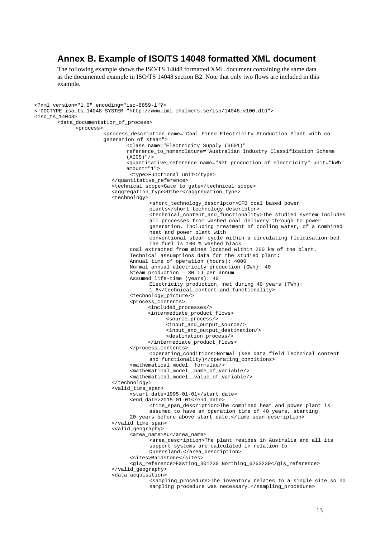### **Annex B. Example of ISO/TS 14048 formatted XML document**

The following example shows the ISO/TS 14048 formatted XML document containing the same data as the documented example in ISO/TS 14048 section B2. Note that only two flows are included in this example.

```
<?xml version="1.0" encoding="iso-8859-1"?>
<!DOCTYPE iso_ts_14048 SYSTEM "http://www.imi.chalmers.se/iso/14048_v100.dtd">
s iso ts 14048<data_documentation_of_process>
              <process>
                       <process_description name="Coal Fired Electricity Production Plant with co-
                      generation of steam">
                               <class name="Electricity Supply (3601)" 
                              reference_to_nomenclature="Australian Industry Classification Scheme 
                               (AICS)"/> 
                              <quantitative_reference name="Net production of electricity" unit="kWh" 
                              amount="1">
                               <type>Functional unit</type>
                         </quantitative_reference>
                         <technical_scope>Gate to gate</technical_scope>
                         <aggregation_type>Other</aggregation_type>
                         <technology>
                                      <short_technology_descriptor>CFB coal based power 
                                      plants</short_technology_descriptor>
                                      <technical_content_and_functionality>The studied system includes 
                                      all processes from washed coal delivery through to power
                                      generation, including treatment of cooling water, of a combined 
                                      heat and power plant with
                                      conventional steam cycle within a circulating fluidisation bed. 
                                      The fuel is 100 % washed black
                               coal extracted from mines located within 200 km of the plant.
                               Technical assumptions data for the studied plant:
                               Annual time of operation (hours): 4000
                               Normal annual electricity production (GWh): 40
                               Steam production – 30 TJ per annum
                               Assumed life-time (years): 40
                                      Electricity production, net during 40 years (TWh): 
                                      1.6</technical_content_and_functionality>
                               <technology_picture/>
                               <process_contents>
                                      <included_processes/>
                                      <intermediate_product_flows>
                                            <source_process/>
                                            <input_and_output_source/>
                                            <input_and_output_destination/>
                                            <destination_process/>
                                      </intermediate_product_flows>
                               </process_contents>
                                      <operating_conditions>Normal (see data field Technical content 
                                      and functionality)</operating_conditions>
                                <mathematical_model__formulae/>
                               <mathematical_model__name_of_variable/>
                               <mathematical_model__value_of_variable/>
                         </technology>
                         <valid_time_span>
                                <start_date>1995-01-01</start_date>
                               <end_date>2015-01-01</end_date>
                                      <time_span_description>The combined heat and power plant is 
                                      assumed to have an operation time of 40 years, starting
                               20 years before above start date.</time_span_description>
                         </valid_time_span>
                         <valid_geography>
                                <area_name>Au</area_name>
                                      <area_description>The plant resides in Australia and all its 
                                      support systems are calculated in relation to 
                                      Queensland.</area_description>
                                <sites>Maidstone</sites>
                                <gis_reference>Easting_301230 Northing_6263230</gis_reference>
                         </valid_geography>
                         <data_acquisition>
                                      <sampling_procedure>The inventory relates to a single site so no 
                                      sampling procedure was necessary.</sampling_procedure>
```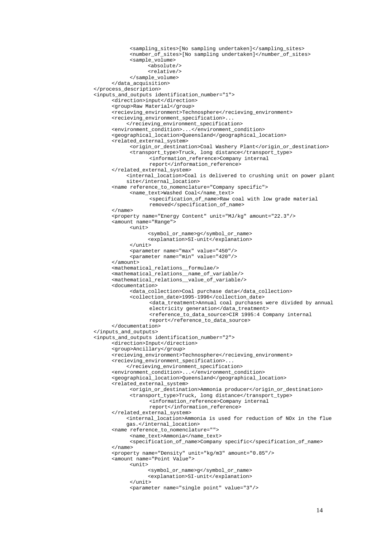```
<sampling_sites>[No sampling undertaken]</sampling_sites>
           <number_of_sites>[No sampling undertaken]</number_of_sites>
           <sample_volume>
                  <absolute/>
                  <relative/>
           </sample_volume>
     </data_acquisition>
</process_description>
<inputs_and_outputs identification_number="1">
     <direction>input</direction>
     <group>Raw Material</group>
     <recieving_environment>Technosphere</recieving_environment>
     <recieving_environment_specification>...
          </recieving_environment_specification>
     <environment_condition>...</environment_condition>
     <geographical_location>Queensland</geographical_location>
     <related_external_system>
            <origin_or_destination>Coal Washery Plant</origin_or_destination>
            <transport_type>Truck, long distance</transport_type>
                  <information_reference>Company internal 
                  report</information_reference>
     </related_external_system>
          <internal_location>Coal is delivered to crushing unit on power plant 
          site</internal_location>
     <name reference_to_nomenclature="Company specific">
            <name_text>Washed Coal</name_text>
                  <specification_of_name>Raw coal with low grade material 
                  removed</specification_of_name>
     </name>
     <property name="Energy Content" unit="MJ/kg" amount="22.3"/>
     <amount name="Range">
           <unit>
                  <symbol_or_name>g</symbol_or_name>
                 <explanation>SI-unit</explanation>
            </unit>
            <parameter name="max" value="450"/>
            <parameter name="min" value="420"/>
     </amount>
     <mathematical_relations__formulae/>
     <mathematical_relations__name_of_variable/>
     <mathematical_relations__value_of_variable/>
     <documentation>
           <data_collection>Coal purchase data</data_collection>
            <collection_date>1995-1996</collection_date>
                  <data_treatment>Annual coal purchases were divided by annual 
                  electricity generation</data_treatment>
                  <reference_to_data_source>CIR 1995:4 Company internal 
                  report</reference_to_data_source>
     </documentation>
</inputs_and_outputs>
<inputs_and_outputs identification_number="2">
     <direction>Input</direction>
     <group>Ancillary</group>
     <recieving_environment>Technosphere</recieving_environment>
     <recieving_environment_specification>...
           </recieving_environment_specification>
     <environment_condition>...</environment_condition>
     <geographical_location>Queensland</geographical_location>
     <related_external_system>
            <origin_or_destination>Ammonia producer</origin_or_destination>
            <transport_type>Truck, long distance</transport_type>
                  <information_reference>Company internal 
                  report</information_reference>
     </related_external_system>
          <internal_location>Ammonia is used for reduction of NOx in the flue 
          gas.</internal_location>
     <name reference_to_nomenclature="">
           <name_text>Ammonia</name_text>
           <specification_of_name>Company specific</specification_of_name>
     </name>
     <property name="Density" unit="kg/m3" amount="0.85"/>
     <amount name="Point Value">
           \text{cunits}<symbol_or_name>g</symbol_or_name>
                  <explanation>SI-unit</explanation>
           \langleunit>
           <parameter name="single point" value="3"/>
```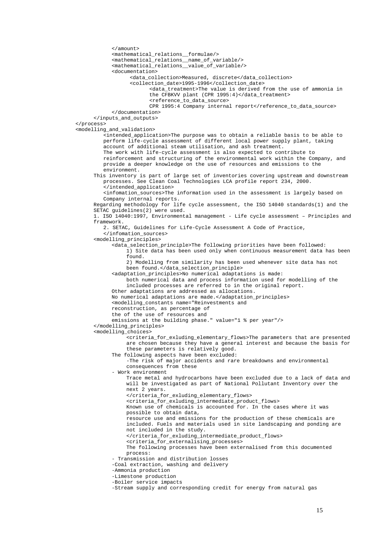</amount> <mathematical\_relations\_\_formulae/> <mathematical\_relations\_\_name\_of\_variable/> <mathematical\_relations\_\_value\_of\_variable/> <documentation> <data\_collection>Measured, discrete</data\_collection> <collection\_date>1995-1996</collection\_date> <data\_treatment>The value is derived from the use of ammonia in the CFBKVV plant (CPR 1995:4)</data\_treatment> <reference\_to\_data\_source> CPR 1995:4 Company internal report</reference\_to\_data\_source> </documentation> </inputs\_and\_outputs> </process> <modelling\_and\_validation> <intended\_application>The purpose was to obtain a reliable basis to be able to perform life-cycle assessment of different local power supply plant, taking account of additional steam utilisation, and ash treatment. The work with life-cycle assessment is also expected to contribute to reinforcement and structuring of the environmental work within the Company, and provide a deeper knowledge on the use of resources and emissions to the environment. This inventory is part of large set of inventories covering upstream and downstream processes. See Clean Coal Technologies LCA profile report 234, 2000. </intended\_application> <infomation\_sources>The information used in the assessment is largely based on Company internal reports. Regarding methodology for life cycle assessment, the ISO 14040 standards(1) and the SETAC guidelines(2) were used. 1. ISO 14040:1997, Environmental management - Life cycle assessment – Principles and framework. 2. SETAC, Guidelines for Life-Cycle Assessment A Code of Practice, </infomation\_sources> <modelling\_principles> <data\_selection\_principle>The following priorities have been followed: 1) Site data has been used only when continuous measurement data has been found. 2) Modelling from similarity has been used whenever site data has not been found.</data\_selection\_principle> <adaptation\_principles>No numerical adaptations is made: both numerical data and process information used for modelling of the included processes are referred to in the original report. Other adaptations are addressed as allocations. No numerical adaptations are made.</adaptation\_principles> <modelling\_constants name="Reinvestments and reconstruction, as percentage of the of the use of resources and emissions at the building phase." value="1 % per year"/> </modelling\_principles> <modelling\_choices> <criteria\_for\_exluding\_elementary\_flows>The parameters that are presented are chosen because they have a general interest and because the basis for these parameters is relatively good. The following aspects have been excluded: -The risk of major accidents and rare breakdowns and environmental consequences from these - Work environment Trace metal and hydrocarbons have been excluded due to a lack of data and will be investigated as part of National Pollutant Inventory over the next 2 years. </criteria\_for\_exluding\_elementary\_flows> <criteria\_for\_exluding\_intermediate\_product\_flows> Known use of chemicals is accounted for. In the cases where it was possible to obtain data, resource use and emissions for the production of these chemicals are included. Fuels and materials used in site landscaping and ponding are not included in the study. </criteria\_for\_exluding\_intermediate\_product\_flows> <criteria\_for\_externalising\_processes> The following processes have been externalised from this documented process: - Transmission and distribution losses -Coal extraction, washing and delivery -Ammonia production -Limestone production -Boiler service impacts -Stream supply and corresponding credit for energy from natural gas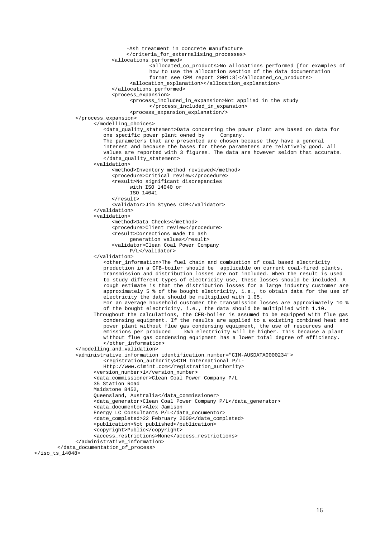```
-Ash treatment in concrete manufacture
                      </criteria_for_externalising_processes>
                 <allocations_performed>
                              <allocated_co_products>No allocations performed [for examples of 
                              how to use the allocation section of the data documentation 
                              format see CPM report 2001:8]</allocated_co_products>
                       <allocation_explanation></allocation_explanation>
                 </allocations_performed>
                 <process_expansion>
                       <process_included_in_expansion>Not applied in the study
                             </process_included_in_expansion>
                       <process_expansion_explanation/>
      </process_expansion>
            </modelling_choices>
               <data_quality_statement>Data concerning the power plant are based on data for 
               one specific power plant owned by Company.
               The parameters that are presented are chosen because they have a general 
               interest and because the bases for these parameters are relatively good. All 
               values are reported with 3 figures. The data are however seldom that accurate.
               </data_quality_statement>
            <validation>
                 <method>Inventory method reviewed</method>
                 <procedure>Critical review</procedure>
                 <result>No significant discrepancies
                       with ISO 14040 or
                       ISO 14041
                 </result>
                 <validator>Jim Stynes CIM</validator>
            </validation>
            <validation>
                 <method>Data Checks</method>
                 <procedure>Client review</procedure>
                 <result>Corrections made to ash
                       generation values</result>
                 <validator>Clean Coal Power Company
                       P/L</validator>
            </validation>
               <other_information>The fuel chain and combustion of coal based electricity 
               production in a CFB-boiler should be applicable on current coal-fired plants.
               Transmission and distribution losses are not included. When the result is used 
               to study different types of electricity use, these losses should be included. A 
               rough estimate is that the distribution losses for a large industry customer are 
               approximately 5 % of the bought electricity, i.e., to obtain data for the use of 
               electricity the data should be multiplied with 1.05.
              For an average household customer the transmission losses are approximately 10 % 
               of the bought electricity, i.e., the data should be multiplied with 1.10.
            Throughout the calculations, the CFB-boiler is assumed to be equipped with flue gas
               condensing equipment. If the results are applied to a existing combined heat and 
               power plant without flue gas condensing equipment, the use of resources and 
               emissions per produced kWh electricity will be higher. This because a plant 
              without flue gas condensing equipment has a lower total degree of efficiency.
               </other_information>
      </modelling_and_validation>
      <administrative_information identification_number="CIM-AUSDATA0000234">
               <registration_authority>CIM International P/L-
              Http://www.cimint.com</registration_authority>
            <version_number>1</version_number>
            <data_commissioner>Clean Coal Power Company P/L
            35 Station Road
           Maidstone 8452,
            Queensland, Australia</data_commissioner>
            <data_generator>Clean Coal Power Company P/L</data_generator>
            <data_documentor>Alex Jamison
           Energy LC Consultants P/L</data_documentor>
            <date_completed>22 February 2000</date_completed>
            <publication>Not published</publication>
            <copyright>Public</copyright>
            <access_restrictions>None</access_restrictions>
      </administrative_information>
</data_documentation_of_process>
```

```
\langleiso ts 14048>
```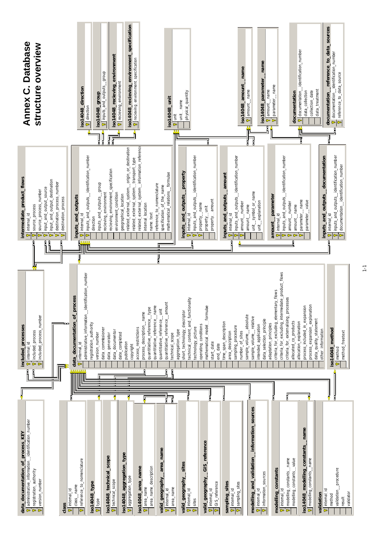

 $\frac{1}{1}$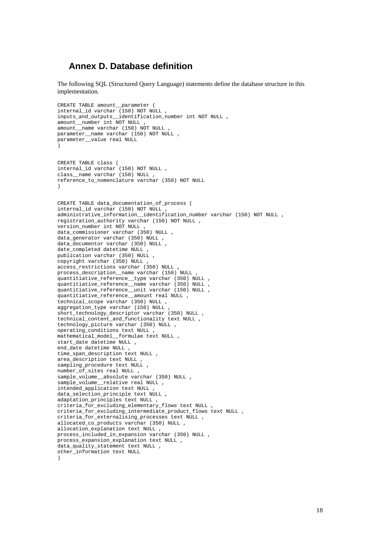## **Annex D. Database definition**

The following SQL (Structured Query Language) statements define the database structure in this implementation.

```
CREATE TABLE amount__parameter (
internal_id varchar (150) NOT NULL ,
inputs_and_outputs__identification_number int NOT NULL ,
amount__number int NOT NULL ,
amount__name varchar (150) NOT NULL ,
parameter__name varchar (150) NOT NULL ,
parameter__value real NULL 
) 
CREATE TABLE class (
internal_id varchar (150) NOT NULL ,
class_name_varchar (150) NULL ,
reference_to_nomenclature varchar (350) NOT NULL 
) 
CREATE TABLE data_documentation_of_process (
internal_id varchar (150) NOT NULL ,
administrative information identification number varchar (150) NOT NULL ,
registration authority varchar (150) NOT NULL ,
version_number int NOT NULL ,
data_commissioner varchar (350) NULL ,
data_generator varchar (350) NULL ,
data documentor varchar (350) NULL ,
date_completed datetime NULL
publication varchar (350) NULL ,
copyright varchar (350) NULL
access_restrictions varchar (350) NULL ,
process_description__name varchar (150) NULL ,
quantitiative_reference__type varchar (350) NULL ,
quantitiative_reference__name varchar (350) NULL ,
quantitiative_reference__unit varchar (150) NULL ,
quantitiative_reference__amount real NULL ,
technical_scope varchar (350) NULL ,
aggregation_type varchar (150) NULL ,
short_technology_descriptor varchar (350) NULL ,
technical_content_and_functionality text NULL ,
technology_picture varchar (350) NULL ,
operating_conditions text NULL ,
mathematical_model__formulae text NULL ,
start date datetime NULL ,
end date datetime NULL ,
time_span_description text NULL ,
area_description text NULL ,
sampling_procedure text NULL
number_of_sites real NULL ,
sample_volume__absolute varchar (350) NULL ,
sample_volume__relative real NULL ,
intended_application text NULL ,
data_selection_principle text NULL ,
adaptation_principles text NULL ,
criteria_for_excluding_elementary_flows text NULL ,
criteria_for_excluding_intermediate_product_flows text NULL ,
criteria for externalising processes text NULL ,
allocated co products varchar (350) NULL ,
allocation_explanation text NULL ,
process_included_in_expansion varchar (350) NULL ,
process_expansion_explanation text NULL ,
data quality statement text NULL ,
other_information text NULL 
)
```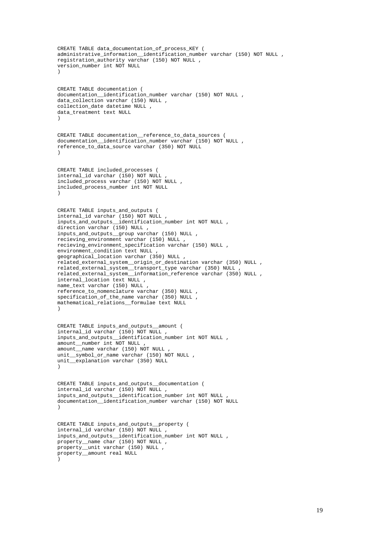```
CREATE TABLE data documentation of process KEY (
administrative_information_identification_number varchar (150) NOT NULL ,
registration_authority varchar (150) NOT NULL ,
version_number int NOT NULL 
\lambdaCREATE TABLE documentation (
documentation__identification_number varchar (150) NOT NULL ,
data_collection varchar (150) NULL ,
collection_date datetime NULL ,
data_treatment text NULL 
) 
CREATE TABLE documentation__reference_to_data_sources (
documentation__identification_number varchar (150) NOT NULL ,
reference_to_data_source varchar (350) NOT NULL 
) 
CREATE TABLE included_processes (
internal_id varchar (150) NOT NULL ,
included_process varchar (150) NOT NULL ,
included_process_number int NOT NULL 
) 
CREATE TABLE inputs_and_outputs (
internal_id varchar (150) NOT NULL ,
inputs and outputs identification number int NOT NULL ,
direction varchar (150) NULL ,
inputs_and_outputs__group varchar (150) NULL ,
recieving_environment varchar (150) NULL ,
recieving_environment_specification varchar (150) NULL ,
environment condition text NULL
geographical_location varchar (350) NULL ,
related_external_system__origin_or_destination varchar (350) NULL ,
related_external_system__transport_type varchar (350) NULL ,
related_external_system__information_reference varchar (350) NULL ,
internal_location text NULL ,
name_text varchar (150) NULL ,
reference_to_nomenclature varchar (350) NULL ,
specification_of_the_name varchar (350) NULL ,
mathematical_relations__formulae text NULL 
\lambdaCREATE TABLE inputs and outputs amount (
internal_id varchar (150) NOT NULL ,
inputs_and_outputs__identification_number int NOT NULL ,
amount__number int NOT NULL ,
amount__name varchar (150) NOT NULL ,
unit_symbol_or_name varchar (150) NOT NULL .
unit__explanation varchar (350) NULL 
) 
CREATE TABLE inputs_and_outputs__documentation (
internal_id varchar (150) NOT NULL ,
inputs_and_outputs__identification_number int NOT NULL ,
documentation__identification_number varchar (150) NOT NULL 
) 
CREATE TABLE inputs and outputs property (
internal_id varchar (150) NOT NULL ,
inputs_and_outputs__identification_number int NOT NULL ,
property__name char (150) NOT NULL ,
property__unit varchar (150) NULL ,
property_amount real NULL
)
```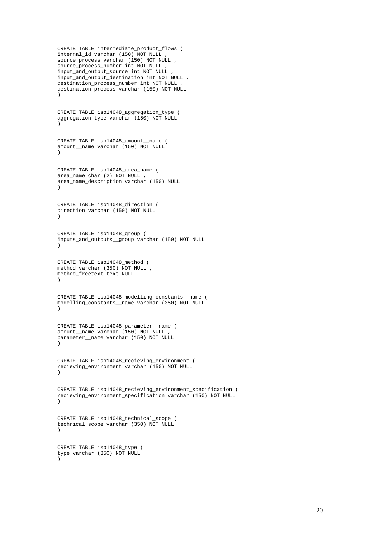CREATE TABLE intermediate\_product\_flows (  $internal$  id varchar (150) NOT NULL source\_process varchar (150) NOT NULL source\_process\_number int NOT NULL , input\_and\_output\_source int NOT NULL , input\_and\_output\_destination int NOT NULL , destination\_process\_number int NOT NULL , destination\_process varchar (150) NOT NULL )

CREATE TABLE iso14048\_aggregation\_type ( aggregation\_type varchar (150) NOT NULL )

CREATE TABLE iso14048\_amount\_\_name ( amount\_\_name varchar (150) NOT NULL )

CREATE TABLE iso14048\_area\_name ( area name char (2) NOT NULL , area\_name\_description varchar (150) NULL  $\lambda$ 

CREATE TABLE iso14048\_direction ( direction varchar (150) NOT NULL )

CREATE TABLE iso14048\_group ( inputs\_and\_outputs\_\_group varchar (150) NOT NULL )

CREATE TABLE iso14048\_method ( method varchar (350) NOT NULL , method\_freetext text NULL )

CREATE TABLE iso14048\_modelling\_constants\_\_name ( modelling\_constants\_\_name varchar (350) NOT NULL  $\lambda$ 

```
CREATE TABLE iso14048 parameter name (
amount name varchar (150) NOT NULL ,
parameter__name varchar (150) NOT NULL 
)
```

```
CREATE TABLE iso14048_recieving_environment (
recieving_environment varchar (150) NOT NULL 
)
```
CREATE TABLE iso14048\_recieving\_environment\_specification ( recieving\_environment\_specification varchar (150) NOT NULL )

```
CREATE TABLE iso14048_technical_scope (
technical_scope varchar (350) NOT NULL 
)
```
CREATE TABLE iso14048\_type ( type varchar (350) NOT NULL  $\lambda$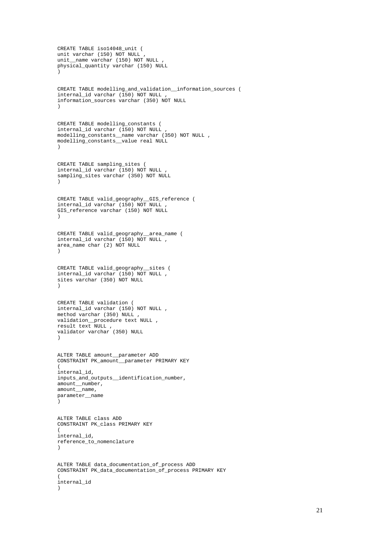```
CREATE TABLE iso14048_unit (
unit varchar (150) NOT NULL ,
unit__name varchar (150) NOT NULL
physical_quantity varchar (150) NULL 
) 
CREATE TABLE modelling_and_validation__information_sources (
internal_id varchar (150) NOT NULL ,
information_sources varchar (350) NOT NULL 
) 
CREATE TABLE modelling_constants (
internal_id varchar (150) NOT NULL ,
modelling_constants__name varchar (350) NOT NULL ,
modelling_constants__value real NULL 
) 
CREATE TABLE sampling_sites (
internal_id varchar (150) NOT NULL ,
sampling_sites varchar (350) NOT NULL 
\lambdaCREATE TABLE valid_geography__GIS_reference (
internal_id varchar (150) NOT NULL ,
GIS_reference varchar (150) NOT NULL 
) 
CREATE TABLE valid_geography__area_name (
internal_id varchar (150) NOT NULL ,
area_name char (2) NOT NULL 
\lambdaCREATE TABLE valid_geography__sites (
internal_id varchar (150) NOT NULL ,
sites varchar (350) NOT NULL 
) 
CREATE TABLE validation (
internal_id varchar (150) NOT NULL ,
method varchar (350) NULL ,
validation__procedure text NULL ,
result text NULL ,
validator varchar (350) NULL 
\lambdaALTER TABLE amount__parameter ADD 
CONSTRAINT PK_amount__parameter PRIMARY KEY 
(
internal_id,
inputs_and_outputs__identification_number,
amount__number,
amount__name,
parameter__name
\lambdaALTER TABLE class ADD 
CONSTRAINT PK_class PRIMARY KEY 
(
internal_id,
reference_to_nomenclature
) 
ALTER TABLE data_documentation_of_process ADD 
CONSTRAINT PK_data_documentation_of_process PRIMARY KEY 
(
internal_id
```
)

```
21
```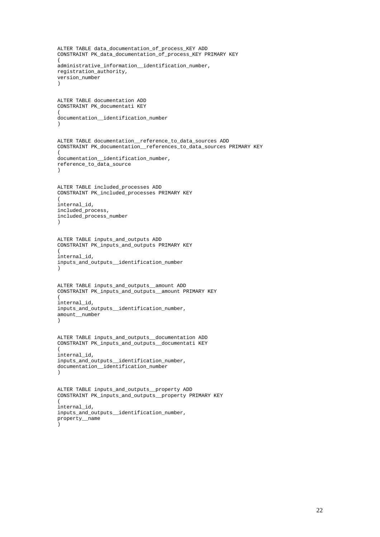```
ALTER TABLE data documentation of process KEY ADD
CONSTRAINT PK_data_documentation_of_process_KEY PRIMARY KEY 
(
administrative_information__identification_number,
registration_authority,
version_number
) 
ALTER TABLE documentation ADD 
CONSTRAINT PK_documentati KEY 
(
documentation__identification_number
) 
ALTER TABLE documentation__reference_to_data_sources ADD 
CONSTRAINT PK_documentation__references_to_data_sources PRIMARY KEY 
(
documentation__identification_number,
reference_to_data_source
) 
ALTER TABLE included_processes ADD 
CONSTRAINT PK_included_processes PRIMARY KEY 
(
internal_id,
included_process,
included_process_number
) 
ALTER TABLE inputs_and_outputs ADD 
CONSTRAINT PK_inputs_and_outputs PRIMARY KEY 
(
internal_id,
inputs_and_outputs__identification_number
) 
ALTER TABLE inputs_and_outputs__amount ADD 
CONSTRAINT PK_inputs_and_outputs__amount PRIMARY KEY 
(
internal_id,
inputs_and_outputs__identification_number,
amount__number
) 
ALTER TABLE inputs_and_outputs__documentation ADD 
CONSTRAINT PK_inputs_and_outputs__documentati KEY 
(
internal_id,
inputs_and_outputs__identification_number,
documentation__identification_number
) 
ALTER TABLE inputs_and_outputs__property ADD 
CONSTRAINT PK_inputs_and_outputs__property PRIMARY KEY 
(
internal_id,
inputs_and_outputs__identification_number,
property__name
)
```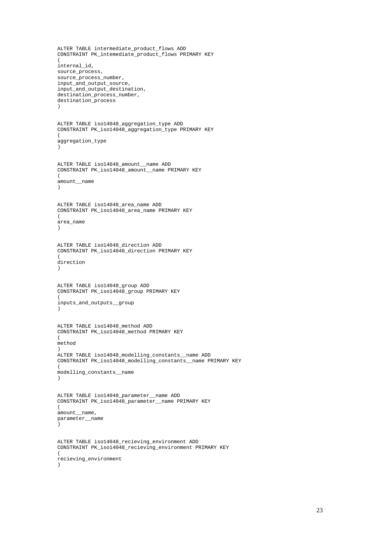```
ALTER TABLE intermediate product flows ADD
CONSTRAINT PK_intemediate_product_flows PRIMARY KEY 
(
internal_id,
source_process,
source_process_number,
input_and_output_source,
input_and_output_destination,
destination_process_number,
destination_process
) 
ALTER TABLE iso14048_aggregation_type ADD 
CONSTRAINT PK_iso14048_aggregation_type PRIMARY KEY 
(
aggregation_type
) 
ALTER TABLE iso14048_amount__name ADD 
CONSTRAINT PK_iso14048_amount__name PRIMARY KEY 
(
amount__name
) 
ALTER TABLE iso14048_area_name ADD 
CONSTRAINT PK_iso14048_area_name PRIMARY KEY 
(
area_name
) 
ALTER TABLE iso14048_direction ADD 
CONSTRAINT PK_iso14048_direction PRIMARY KEY 
(
direction
) 
ALTER TABLE iso14048_group ADD 
CONSTRAINT PK_iso14048_group PRIMARY KEY 
(
inputs_and_outputs__group
) 
ALTER TABLE iso14048_method ADD 
CONSTRAINT PK_iso14048_method PRIMARY KEY 
(
method
) 
ALTER TABLE iso14048_modelling_constants__name ADD 
CONSTRAINT PK_iso14048_modelling_constants__name PRIMARY KEY 
(
modelling_constants__name
) 
ALTER TABLE iso14048_parameter__name ADD 
CONSTRAINT PK_iso14048_parameter__name PRIMARY KEY 
\left(amount__name,
parameter__name
) 
ALTER TABLE iso14048_recieving_environment ADD 
CONSTRAINT PK_iso14048_recieving_environment PRIMARY KEY 
(
recieving_environment
)
```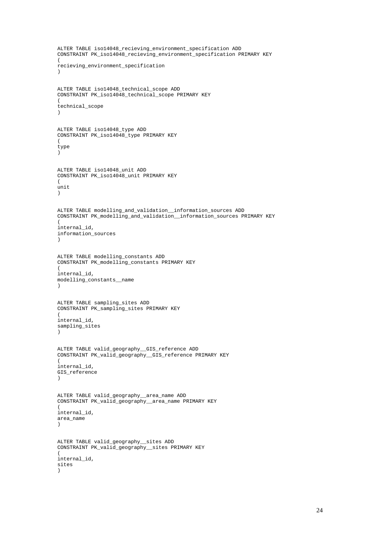```
ALTER TABLE iso14048 recieving environment specification ADD
CONSTRAINT PK_iso14048_recieving_environment_specification PRIMARY KEY 
\overline{1}recieving_environment_specification
\lambdaALTER TABLE iso14048_technical_scope ADD 
CONSTRAINT PK_iso14048_technical_scope PRIMARY KEY 
(
technical_scope
) 
ALTER TABLE iso14048_type ADD 
CONSTRAINT PK_iso14048_type PRIMARY KEY 
(
type
) 
ALTER TABLE iso14048_unit ADD 
CONSTRAINT PK_iso14048_unit PRIMARY KEY 
\sqrt{2}unit
) 
ALTER TABLE modelling_and_validation__information_sources ADD 
CONSTRAINT PK_modelling_and_validation__information_sources PRIMARY KEY 
(
internal_id,
information_sources
) 
ALTER TABLE modelling_constants ADD 
CONSTRAINT PK_modelling_constants PRIMARY KEY 
(
internal_id,
modelling_constants__name
) 
ALTER TABLE sampling_sites ADD 
CONSTRAINT PK_sampling_sites PRIMARY KEY 
(
internal_id,
sampling_sites
) 
ALTER TABLE valid_geography__GIS_reference ADD 
CONSTRAINT PK_valid_geography__GIS_reference PRIMARY KEY 
(
internal_id,
GIS_reference
) 
ALTER TABLE valid_geography__area_name ADD 
CONSTRAINT PK_valid_geography__area_name PRIMARY KEY 
(
internal_id,
area_name
) 
ALTER TABLE valid_geography__sites ADD 
CONSTRAINT PK_valid_geography__sites PRIMARY KEY 
(
internal_id,
sites
)
```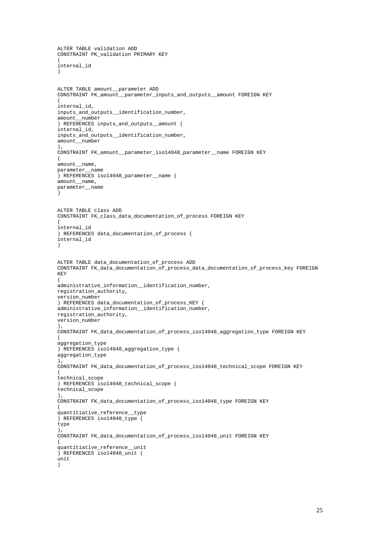```
ALTER TABLE validation ADD 
CONSTRAINT PK_validation PRIMARY KEY 
(
internal_id
\lambdaALTER TABLE amount__parameter ADD 
CONSTRAINT FK_amount__parameter_inputs_and_outputs__amount FOREIGN KEY 
(
internal_id,
inputs_and_outputs__identification_number,
amount__number
) REFERENCES inputs and outputs amount (
internal_id,
inputs_and_outputs__identification_number,
amount__number
),
CONSTRAINT FK_amount__parameter_iso14048_parameter__name FOREIGN KEY 
(
amount__name,
parameter__name
) REFERENCES iso14048_parameter__name (
amount__name,
parameter__name
)
ALTER TABLE class ADD 
CONSTRAINT FK_class_data_documentation_of_process FOREIGN KEY 
(
internal_id
) REFERENCES data_documentation_of_process (
internal_id
)
ALTER TABLE data_documentation_of_process ADD 
CONSTRAINT FK_data_documentation_of_process_data_documentation_of_process_key FOREIGN 
KEY 
(
administrative_information__identification_number,
registration_authority,
version_number
) REFERENCES data_documentation_of_process_KEY (
administrative_information__identification_number,
registration_authority,
version_number
\lambda.
CONSTRAINT FK_data_documentation_of_process_iso14048_aggregation_type FOREIGN KEY 
(
aggregation_type
) REFERENCES iso14048_aggregation_type (
aggregation_type
),
CONSTRAINT FK_data_documentation_of_process_iso14048_technical_scope FOREIGN KEY 
(
technical_scope
) REFERENCES iso14048_technical_scope (
technical_scope
),
CONSTRAINT FK_data_documentation_of_process_iso14048_type FOREIGN KEY 
(
quantitiative_reference__type
) REFERENCES iso14048_type (
type
\lambda.
CONSTRAINT FK_data_documentation_of_process_iso14048_unit FOREIGN KEY 
(
quantitiative_reference__unit
\overline{)} REFERENCES iso14048 unit (
unit
```
)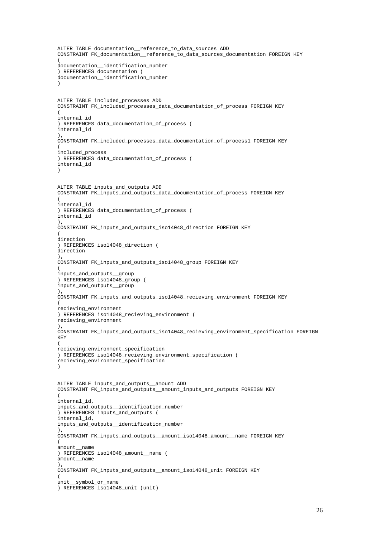```
ALTER TABLE documentation reference to data sources ADD
CONSTRAINT FK_documentation__reference_to_data_sources_documentation FOREIGN KEY 
(
documentation__identification_number
) REFERENCES documentation (
documentation__identification_number
)
ALTER TABLE included_processes ADD 
CONSTRAINT FK_included_processes_data_documentation_of_process FOREIGN KEY 
(
internal_id
) REFERENCES data_documentation_of_process (
internal_id
\lambdaCONSTRAINT FK_included_processes_data_documentation_of_process1 FOREIGN KEY 
(
included_process
) REFERENCES data_documentation_of_process (
internal_id
)
ALTER TABLE inputs_and_outputs ADD 
CONSTRAINT FK_inputs_and_outputs_data_documentation_of_process FOREIGN KEY 
(
internal_id
) REFERENCES data_documentation_of_process (
internal_id
),
CONSTRAINT FK_inputs_and_outputs_iso14048_direction FOREIGN KEY 
(
direction
) REFERENCES iso14048_direction (
direction
\lambdaCONSTRAINT FK_inputs_and_outputs_iso14048_group FOREIGN KEY 
(
inputs_and_outputs__group
) REFERENCES iso14048_group (
inputs_and_outputs__group
\lambda.
CONSTRAINT FK_inputs_and_outputs_iso14048_recieving_environment FOREIGN KEY 
(
recieving_environment
) REFERENCES iso14048_recieving_environment (
recieving_environment
\lambda.
CONSTRAINT FK_inputs_and_outputs_iso14048_recieving_environment_specification FOREIGN 
KEY 
(
recieving_environment_specification
) REFERENCES iso14048_recieving_environment_specification (
recieving_environment_specification
)
ALTER TABLE inputs_and_outputs__amount ADD 
CONSTRAINT FK_inputs_and_outputs__amount_inputs_and_outputs FOREIGN KEY 
(
internal_id,
inputs_and_outputs__identification_number
) REFERENCES inputs_and_outputs (
internal_id,
inputs_and_outputs__identification_number
),
CONSTRAINT FK_inputs_and_outputs__amount_iso14048_amount__name FOREIGN KEY 
(
amount__name
) REFERENCES iso14048_amount__name (
amount__name
\lambdaCONSTRAINT FK_inputs_and_outputs__amount_iso14048_unit FOREIGN KEY 
(
unit__symbol_or_name
) REFERENCES iso14048_unit (unit)
```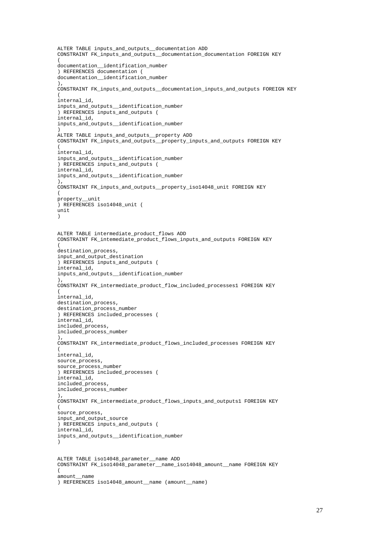```
ALTER TABLE inputs and outputs documentation ADD
CONSTRAINT FK_inputs_and_outputs__documentation_documentation FOREIGN KEY 
(
documentation__identification_number
) REFERENCES documentation (
documentation__identification_number
),
CONSTRAINT FK_inputs_and_outputs__documentation_inputs_and_outputs FOREIGN KEY 
(
internal_id,
inputs_and_outputs__identification_number
) REFERENCES inputs_and_outputs (
internal_id,
inputs_and_outputs__identification_number
)
ALTER TABLE inputs_and_outputs__property ADD 
CONSTRAINT FK_inputs_and_outputs__property_inputs_and_outputs FOREIGN KEY 
(
internal_id,
inputs_and_outputs__identification_number
) REFERENCES inputs_and_outputs (
internal_id,
inputs_and_outputs__identification_number
),
CONSTRAINT FK_inputs_and_outputs__property_iso14048_unit FOREIGN KEY 
(
property__unit
) REFERENCES iso14048 unit (
unit
)
ALTER TABLE intermediate_product_flows ADD 
CONSTRAINT FK_intemediate_product_flows_inputs_and_outputs FOREIGN KEY 
(
destination process,
input_and_output_destination
) REFERENCES inputs_and_outputs (
internal_id,
inputs_and_outputs__identification_number
),
CONSTRAINT FK_intermediate_product_flow_included_processes1 FOREIGN KEY 
(
internal_id,
destination_process,
destination_process_number
) REFERENCES included_processes (
internal_id,
included_process,
included_process_number
),
CONSTRAINT FK_intermediate_product_flows_included_processes FOREIGN KEY 
(
internal_id,
source_process,
source_process_number
) REFERENCES included_processes (
internal_id,
included_process,
included_process_number
),
CONSTRAINT FK_intermediate_product_flows_inputs_and_outputs1 FOREIGN KEY 
(
source_process,
input_and_output_source
) REFERENCES inputs_and_outputs (
internal_id,
inputs_and_outputs__identification_number
)
ALTER TABLE iso14048_parameter__name ADD 
CONSTRAINT FK_iso14048_parameter__name_iso14048_amount__name FOREIGN KEY 
(
amount__name
) REFERENCES iso14048_amount__name (amount__name)
```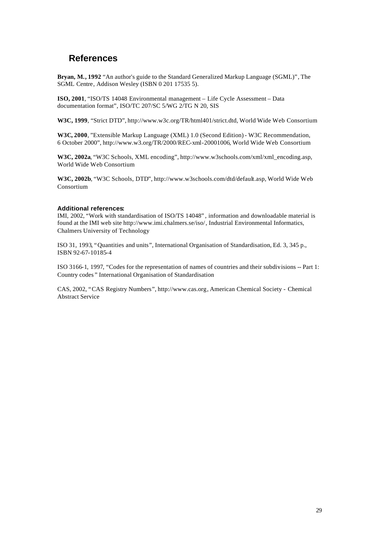# **References**

**Bryan, M., 1992** "An author's guide to the Standard Generalized Markup Language (SGML)", The SGML Centre, Addison Wesley (ISBN 0 201 17535 5).

**ISO, 2001**, "ISO/TS 14048 Environmental management – Life Cycle Assessment – Data documentation format", ISO/TC 207/SC 5/WG 2/TG N 20, SIS

**W3C, 1999**, "Strict DTD", http://www.w3c.org/TR/html401/strict.dtd, World Wide Web Consortium

**W3C, 2000**, "Extensible Markup Language (XML) 1.0 (Second Edition) - W3C Recommendation, 6 October 2000", http://www.w3.org/TR/2000/REC-xml-20001006, World Wide Web Consortium

**W3C, 2002a**, "W3C Schools, XML encoding", http://www.w3schools.com/xml/xml\_encoding.asp, World Wide Web Consortium

**W3C, 2002b**, "W3C Schools, DTD", http://www.w3schools.com/dtd/default.asp, World Wide Web Consortium

#### **Additional references:**

IMI, 2002, "Work with standardisation of ISO/TS 14048" , information and downloadable material is found at the IMI web site http://www.imi.chalmers.se/iso/, Industrial Environmental Informatics, Chalmers University of Technology

ISO 31, 1993, "Quantities and units", International Organisation of Standardisation, Ed. 3, 345 p., ISBN 92-67-10185-4

ISO 3166-1, 1997, "Codes for the representation of names of countries and their subdivisions -- Part 1: Country codes " International Organisation of Standardisation

CAS, 2002, "CAS Registry Numbers", http://www.cas.org, American Chemical Society - Chemical Abstract Service